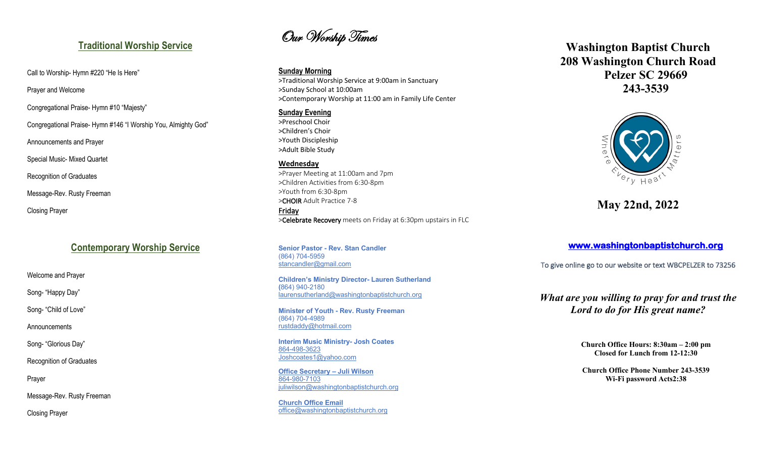## **Traditional Worship Service**

Call to Worship- Hymn #220 "He Is Here"

Prayer and Welcome

Congregational Praise- Hymn #10 "Majesty"

Congregational Praise- Hymn #146 "I Worship You, Almighty God"

Announcements and Prayer

Special Music- Mixed Quartet

Recognition of Graduates

Message-Rev. Rusty Freeman

Closing Prayer

# **Contemporary Worship Service**

Welcome and Prayer

Song- "Happy Day"

Song- "Child of Love"

Announcements

Song- "Glorious Day"

Recognition of Graduates

Prayer

Message-Rev. Rusty Freeman

Closing Prayer

Our Worship Times

### **Sunday Morning**

>Traditional Worship Service at 9:00am in Sanctuary >Sunday School at 10:00am >Contemporary Worship at 11:00 am in Family Life Center

## **Sunday Evening**

>Preschool Choir >Children's Choir >Youth Discipleship >Adult Bible Study

## **Wednesday**

>Prayer Meeting at 11:00am and 7pm >Children Activities from 6:30-8pm >Youth from 6:30-8pm >CHOIR Adult Practice 7-8 Friday >Celebrate Recovery meets on Friday at 6:30pm upstairs in FLC

**Senior Pastor - Rev. Stan Candler** (864) 704-5959 stancandler@gmail.com

**Children's Ministry Director- Lauren Sutherland (**864) 940-2180 laurensutherland@washingtonbaptistchurch.org

**Minister of Youth - Rev. Rusty Freeman** (864) 704-4989 rustdaddy@hotmail.com

**Interim Music Ministry- Josh Coates** 864-498-3623 Joshcoates1@yahoo.com

**Office Secretary – Juli Wilson** 864-980-7103 juliwilson@washingtonbaptistchurch.org

**Church Office Email** office@washingtonbaptistchurch.org

# **Washington Baptist Church 208 Washington Church Road Pelzer SC 29669 243-3539**



**May 22nd, 2022**

**www.washingtonbaptistchurch.org** 

To give online go to our website or text WBCPELZER to 73256

## *What are you willing to pray for and trust the Lord to do for His great name?*

**Church Office Hours: 8:30am – 2:00 pm Closed for Lunch from 12-12:30**

**Church Office Phone Number 243-3539 Wi-Fi password Acts2:38**